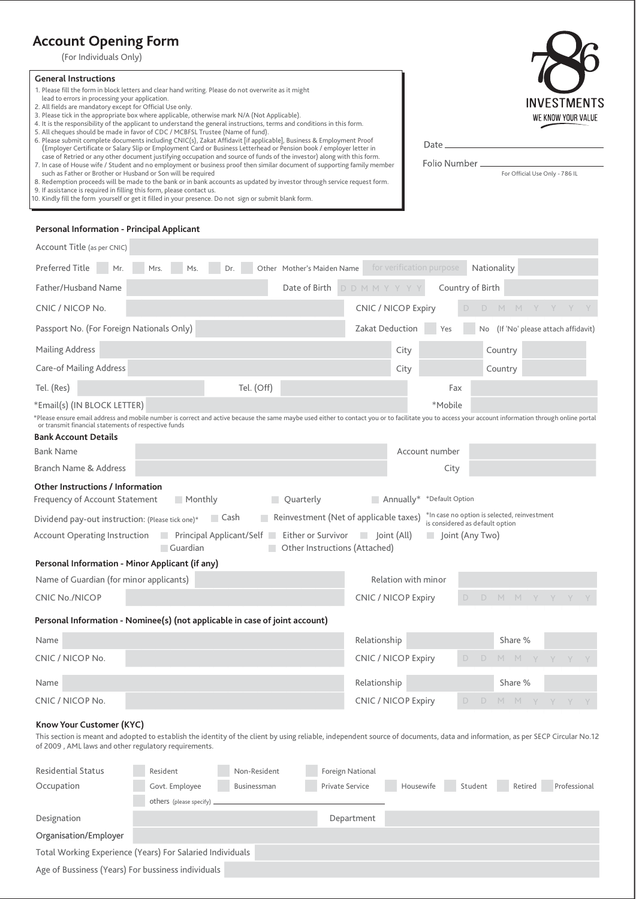# **Account Opening Form**

(For Individuals Only)

#### **General Instructions**

- 1. Please fill the form in block letters and clear hand writing. Please do not overwrite as it might
- lead to errors in processing your application.
- 2. All fields are mandatory except for Official Use only.
- 3. Please tick in the appropriate box where applicable, otherwise mark N/A (Not Applicable).<br>4. It is the responsibility of the applicant to understand the general instructions, terms and conditions in this form.
- 5. All cheques should be made in favor of CDC / MCBFSL Trustee (Name of fund).
- 6. Please submit complete documents including CNIC(s), Zakat Affidavit [if applicable], Business & Employment Proof (Employer Certificate or Salary Slip or Employment Card or Business Letterhead or Pension book / employer letter in
- case of Retried or any other document justifying occupation and source of funds of the investor) along with this form.<br>7. In case of House wife / Student and no employment or business proof then similar document of support such as Father or Brother or Husband or Son will be required
- 8. Redemption proceeds will be made to the bank or in bank accounts as updated by investor through service request form.
- 

| 9. If assistance is required in filling this form, please contact us.<br>10. Kindly fill the form yourself or get it filled in your presence. Do not sign or submit blank form. | 0. Redemption proceeds will be made to the bank of in bank accounts as apuated by investor through service request form. |                            |                                      |
|---------------------------------------------------------------------------------------------------------------------------------------------------------------------------------|--------------------------------------------------------------------------------------------------------------------------|----------------------------|--------------------------------------|
| Personal Information - Principal Applicant                                                                                                                                      |                                                                                                                          |                            |                                      |
| Account Title (as per CNIC)                                                                                                                                                     |                                                                                                                          |                            |                                      |
|                                                                                                                                                                                 | Preferred Title Mr. Mrs. Ms. Dr. Other Mother's Maiden Name                                                              | for verification purpose   | Nationality                          |
| Father/Husband Name                                                                                                                                                             | Date of Birth                                                                                                            | D D M M Y Y Y Y            | Country of Birth                     |
| CNIC / NICOP No.                                                                                                                                                                |                                                                                                                          | <b>CNIC / NICOP Expiry</b> |                                      |
| Passport No. (For Foreign Nationals Only)                                                                                                                                       |                                                                                                                          | Zakat Deduction<br>Yes     | No (If 'No' please attach affidavit) |
| Mailing Address                                                                                                                                                                 |                                                                                                                          | City                       | Country                              |

Care-of Mailing Address

Tel. (Res) Tel. (Off) Fax

#### \*Email(s) (IN BLOCK LETTER) \*Mobile

\*Please ensure email address and mobile number is correct and active because the same maybe used either to contact you or to facilitate you to access your account information through online portal or transmit financial statements of respective funds

| <b>Bank Account Details</b>                                                            |                                                                                      |                                 |                                              |
|----------------------------------------------------------------------------------------|--------------------------------------------------------------------------------------|---------------------------------|----------------------------------------------|
| <b>Bank Name</b>                                                                       |                                                                                      | Account number                  |                                              |
| Branch Name & Address                                                                  |                                                                                      | City                            |                                              |
| <b>Other Instructions / Information</b><br>■ Monthly<br>Frequency of Account Statement | Quarterly                                                                            | *Default Option<br>Annually*    |                                              |
| <b>■ Cash</b><br>Dividend pay-out instruction: (Please tick one)*                      | Reinvestment (Net of applicable taxes)                                               | is considered as default option | *In case no option is selected, reinvestment |
| Account Operating Instruction Principal Applicant/Self<br><b>■ Guardian</b>            | Either or Survivor<br>Joint (All)<br>$\blacksquare$<br>Other Instructions (Attached) | $\Box$ Joint (Any Two)          |                                              |
| Personal Information - Minor Applicant (if any)                                        |                                                                                      |                                 |                                              |
| Name of Guardian (for minor applicants)                                                |                                                                                      | Relation with minor             |                                              |
| <b>CNIC No./NICOP</b>                                                                  | <b>CNIC / NICOP Expiry</b>                                                           | D.                              | - D-                                         |
| Personal Information - Nominee(s) (not applicable in case of joint account)            |                                                                                      |                                 |                                              |
| Name                                                                                   | Relationship                                                                         |                                 | Share %                                      |

| CNIC / NICOP No. | CNIC / NICOP Expiry |  | D D M M Y Y Y Y |  |  |  |
|------------------|---------------------|--|-----------------|--|--|--|
| Name             | Relationship        |  | Share %         |  |  |  |
| CNIC / NICOP No. | CNIC / NICOP Expiry |  | DDMMYYYY        |  |  |  |

## **Know Your Customer (KYC)**

This section is meant and adopted to establish the identity of the client by using reliable, independent source of documents, data and information, as per SECP Circular No.12 of 2009 , AML laws and other regulatory requirements.

| <b>Residential Status</b>                          | Resident                                                  | Non-Resident | Foreign National       |           |         |         |              |  |  |
|----------------------------------------------------|-----------------------------------------------------------|--------------|------------------------|-----------|---------|---------|--------------|--|--|
| Occupation                                         | Govt. Employee                                            | Businessman  | <b>Private Service</b> | Housewife | Student | Retired | Professional |  |  |
|                                                    | others (please specify) __                                |              |                        |           |         |         |              |  |  |
| Designation                                        |                                                           |              | Department             |           |         |         |              |  |  |
| Organisation/Employer                              |                                                           |              |                        |           |         |         |              |  |  |
|                                                    | Total Working Experience (Years) For Salaried Individuals |              |                        |           |         |         |              |  |  |
| Age of Bussiness (Years) For bussiness individuals |                                                           |              |                        |           |         |         |              |  |  |



For Official Use Only - 786 IL

Date

Folio Number

City Country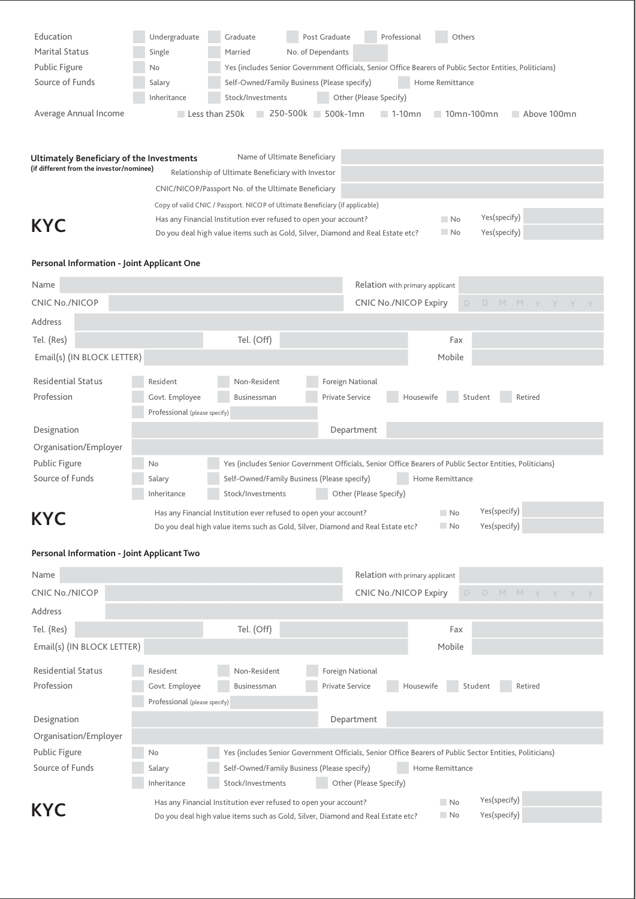| Education             | Undergraduate  | Graduate          | Post Graduate                               | Professional                       | Others                                                                                                   |
|-----------------------|----------------|-------------------|---------------------------------------------|------------------------------------|----------------------------------------------------------------------------------------------------------|
| <b>Marital Status</b> | Single         | Married           | No. of Dependants                           |                                    |                                                                                                          |
| Public Figure         | No.            |                   |                                             |                                    | Yes (includes Senior Government Officials, Senior Office Bearers of Public Sector Entities, Politicians) |
| Source of Funds       | Salary         |                   | Self-Owned/Family Business (Please specify) | Home Remittance                    |                                                                                                          |
|                       | Inheritance    | Stock/Investments |                                             | Other (Please Specify)             |                                                                                                          |
| Average Annual Income | Less than 250k |                   | 500k-1mn<br>250-500k                        | $\blacksquare$ 1-10 $\blacksquare$ | 10mn-100mn<br>Above 100mn                                                                                |
|                       |                |                   |                                             |                                    |                                                                                                          |
|                       |                |                   |                                             |                                    |                                                                                                          |

| Ultimately Beneficiary of the Investments |                                                                                 | Name of Ultimate Beneficiary                                                 |  |     |              |  |
|-------------------------------------------|---------------------------------------------------------------------------------|------------------------------------------------------------------------------|--|-----|--------------|--|
| (if different from the investor/nominee)  |                                                                                 | Relationship of Ultimate Beneficiary with Investor                           |  |     |              |  |
|                                           |                                                                                 | CNIC/NICOP/Passport No. of the Ultimate Beneficiary                          |  |     |              |  |
|                                           |                                                                                 | Copy of valid CNIC / Passport. NICOP of Ultimate Beneficiary (if applicable) |  |     |              |  |
|                                           |                                                                                 | Has any Financial Institution ever refused to open your account?             |  | No. | Yes(specify) |  |
| <b>KYC</b>                                | Do you deal high value items such as Gold, Silver, Diamond and Real Estate etc? |                                                                              |  |     | Yes(specify) |  |

# **Personal Information - Joint Applicant One**

| Name                       |                               |                                                                                                          | Relation with primary applicant |                   |              |         |  |
|----------------------------|-------------------------------|----------------------------------------------------------------------------------------------------------|---------------------------------|-------------------|--------------|---------|--|
| <b>CNIC No./NICOP</b>      |                               |                                                                                                          | <b>CNIC No./NICOP Expiry</b>    | D                 | D<br>$M$ $M$ | Y Y Y Y |  |
| Address                    |                               |                                                                                                          |                                 |                   |              |         |  |
| Tel. (Res)                 |                               | Tel. (Off)                                                                                               |                                 | Fax               |              |         |  |
| Email(s) (IN BLOCK LETTER) |                               |                                                                                                          |                                 | Mobile            |              |         |  |
| <b>Residential Status</b>  | Resident                      | Non-Resident                                                                                             | Foreign National                |                   |              |         |  |
| Profession                 | Govt. Employee                | Businessman                                                                                              | <b>Private Service</b>          | Housewife         | Student      | Retired |  |
|                            | Professional (please specify) |                                                                                                          |                                 |                   |              |         |  |
| Designation                |                               |                                                                                                          | Department                      |                   |              |         |  |
| Organisation/Employer      |                               |                                                                                                          |                                 |                   |              |         |  |
| Public Figure              | No.                           | Yes (includes Senior Government Officials, Senior Office Bearers of Public Sector Entities, Politicians) |                                 |                   |              |         |  |
| Source of Funds            | Salary                        | Self-Owned/Family Business (Please specify)                                                              |                                 | Home Remittance   |              |         |  |
|                            | Inheritance                   | Stock/Investments                                                                                        | Other (Please Specify)          |                   |              |         |  |
| <b>KYC</b>                 |                               | Has any Financial Institution ever refused to open your account?                                         |                                 | No.               | Yes(specify) |         |  |
|                            |                               | Do you deal high value items such as Gold, Silver, Diamond and Real Estate etc?                          |                                 | $\blacksquare$ No | Yes(specify) |         |  |

# **Personal Information - Joint Applicant Two**

| Name                       |                               |                                                                                                          |                              | Relation with primary applicant |         |              |         |  |
|----------------------------|-------------------------------|----------------------------------------------------------------------------------------------------------|------------------------------|---------------------------------|---------|--------------|---------|--|
| <b>CNIC No./NICOP</b>      |                               |                                                                                                          | <b>CNIC No./NICOP Expiry</b> |                                 | D.<br>D | MMYYY        |         |  |
| Address                    |                               |                                                                                                          |                              |                                 |         |              |         |  |
| Tel. (Res)                 |                               | Tel. (Off)                                                                                               |                              | Fax                             |         |              |         |  |
| Email(s) (IN BLOCK LETTER) |                               |                                                                                                          |                              | Mobile                          |         |              |         |  |
| <b>Residential Status</b>  | Resident                      | Non-Resident                                                                                             | Foreign National             |                                 |         |              |         |  |
| Profession                 | Govt. Employee                | Businessman                                                                                              | <b>Private Service</b>       | Housewife                       | Student |              | Retired |  |
|                            | Professional (please specify) |                                                                                                          |                              |                                 |         |              |         |  |
| Designation                |                               |                                                                                                          | Department                   |                                 |         |              |         |  |
| Organisation/Employer      |                               |                                                                                                          |                              |                                 |         |              |         |  |
| Public Figure              | No.                           | Yes (includes Senior Government Officials, Senior Office Bearers of Public Sector Entities, Politicians) |                              |                                 |         |              |         |  |
| Source of Funds            | Salary                        | Self-Owned/Family Business (Please specify)                                                              |                              | Home Remittance                 |         |              |         |  |
|                            | Inheritance                   | Stock/Investments                                                                                        | Other (Please Specify)       |                                 |         |              |         |  |
|                            |                               | Has any Financial Institution ever refused to open your account?                                         |                              | No.                             |         | Yes(specify) |         |  |
| <b>KYC</b>                 |                               | Do you deal high value items such as Gold, Silver, Diamond and Real Estate etc?                          |                              | $\blacksquare$ No               |         | Yes(specify) |         |  |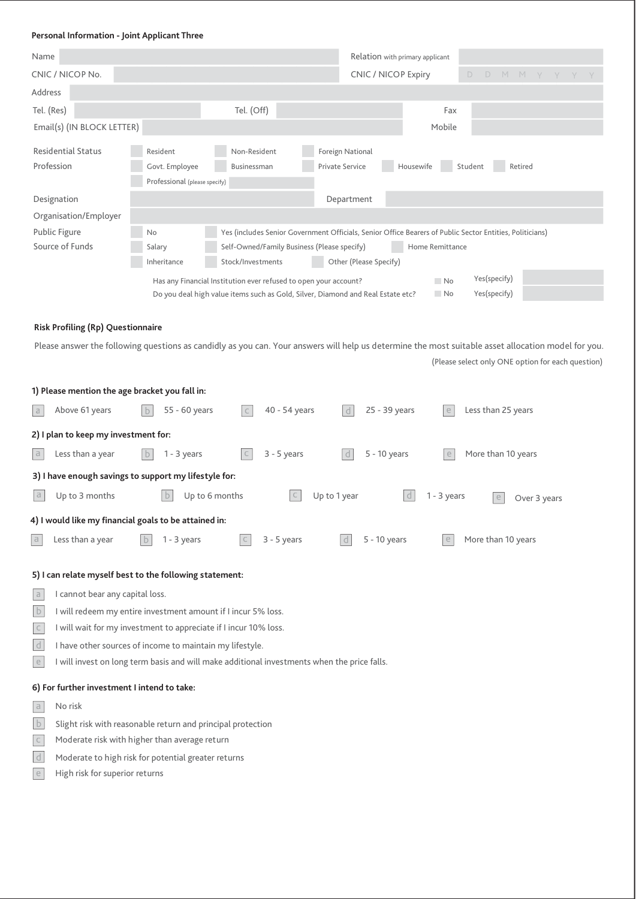## **Personal Information - Joint Applicant Three**

| Name                                                    |                                                                  |                                                                  |                                                                                                          | Relation with primary applicant |                                                                                                                                                     |
|---------------------------------------------------------|------------------------------------------------------------------|------------------------------------------------------------------|----------------------------------------------------------------------------------------------------------|---------------------------------|-----------------------------------------------------------------------------------------------------------------------------------------------------|
| CNIC / NICOP No.                                        |                                                                  |                                                                  | <b>CNIC / NICOP Expiry</b>                                                                               |                                 | D<br>D<br>M.<br>M<br>Y<br>Y.                                                                                                                        |
| Address                                                 |                                                                  |                                                                  |                                                                                                          |                                 |                                                                                                                                                     |
| Tel. (Res)                                              |                                                                  | Tel. (Off)                                                       |                                                                                                          | Fax                             |                                                                                                                                                     |
| Email(s) (IN BLOCK LETTER)                              |                                                                  |                                                                  |                                                                                                          | Mobile                          |                                                                                                                                                     |
| <b>Residential Status</b><br>Profession                 | Resident<br>Govt. Employee<br>Professional (please specify)      | Non-Resident<br>Businessman                                      | Foreign National<br>Private Service                                                                      | Housewife                       | Student<br>Retired                                                                                                                                  |
| Designation                                             |                                                                  |                                                                  | Department                                                                                               |                                 |                                                                                                                                                     |
| Organisation/Employer                                   |                                                                  |                                                                  |                                                                                                          |                                 |                                                                                                                                                     |
| Public Figure                                           | No                                                               |                                                                  | Yes (includes Senior Government Officials, Senior Office Bearers of Public Sector Entities, Politicians) |                                 |                                                                                                                                                     |
| Source of Funds                                         | Salary<br>Inheritance                                            | Self-Owned/Family Business (Please specify)<br>Stock/Investments | Other (Please Specify)                                                                                   | Home Remittance                 |                                                                                                                                                     |
|                                                         |                                                                  |                                                                  |                                                                                                          |                                 | Yes(specify)                                                                                                                                        |
|                                                         |                                                                  | Has any Financial Institution ever refused to open your account? | Do you deal high value items such as Gold, Silver, Diamond and Real Estate etc?                          | No.<br>No.                      | Yes(specify)                                                                                                                                        |
|                                                         |                                                                  |                                                                  |                                                                                                          |                                 |                                                                                                                                                     |
| <b>Risk Profiling (Rp) Questionnaire</b>                |                                                                  |                                                                  |                                                                                                          |                                 |                                                                                                                                                     |
|                                                         |                                                                  |                                                                  |                                                                                                          |                                 | Please answer the following questions as candidly as you can. Your answers will help us determine the most suitable asset allocation model for you. |
|                                                         |                                                                  |                                                                  |                                                                                                          |                                 | (Please select only ONE option for each question)                                                                                                   |
|                                                         |                                                                  |                                                                  |                                                                                                          |                                 |                                                                                                                                                     |
| 1) Please mention the age bracket you fall in:          |                                                                  |                                                                  |                                                                                                          |                                 |                                                                                                                                                     |
| Above 61 years<br>$\Box$                                | 55 - 60 years                                                    | 40 - 54 years<br>$\mathsf{C}$                                    | 25 - 39 years                                                                                            | e                               | Less than 25 years                                                                                                                                  |
| 2) I plan to keep my investment for:                    |                                                                  |                                                                  |                                                                                                          |                                 |                                                                                                                                                     |
| $\Box$<br>Less than a year                              | $1 - 3$ years                                                    | $3 - 5$ years                                                    | 5 - 10 years<br>l d                                                                                      |                                 | More than 10 years                                                                                                                                  |
| 3) I have enough savings to support my lifestyle for:   |                                                                  |                                                                  |                                                                                                          |                                 |                                                                                                                                                     |
| a<br>Up to 3 months                                     |                                                                  | Up to 6 months                                                   | Up to 1 year                                                                                             | $1 - 3$ years                   | e<br>Over 3 years                                                                                                                                   |
| 4) I would like my financial goals to be attained in:   |                                                                  |                                                                  |                                                                                                          |                                 |                                                                                                                                                     |
| a<br>Less than a year                                   | $\mathbf b$<br>$1 - 3$ years                                     | $3 - 5$ years                                                    | 5 - 10 years                                                                                             |                                 | More than 10 years                                                                                                                                  |
| 5) I can relate myself best to the following statement: |                                                                  |                                                                  |                                                                                                          |                                 |                                                                                                                                                     |
| I cannot bear any capital loss.<br>$\Box$               |                                                                  |                                                                  |                                                                                                          |                                 |                                                                                                                                                     |
| $\mathsf b$                                             | I will redeem my entire investment amount if I incur 5% loss.    |                                                                  |                                                                                                          |                                 |                                                                                                                                                     |
| $\subset$                                               | I will wait for my investment to appreciate if I incur 10% loss. |                                                                  |                                                                                                          |                                 |                                                                                                                                                     |
| $\mathsf d$                                             | I have other sources of income to maintain my lifestyle.         |                                                                  |                                                                                                          |                                 |                                                                                                                                                     |
| $\in$                                                   |                                                                  |                                                                  | I will invest on long term basis and will make additional investments when the price falls.              |                                 |                                                                                                                                                     |
| 6) For further investment I intend to take:             |                                                                  |                                                                  |                                                                                                          |                                 |                                                                                                                                                     |
| No risk<br>$\rm{d}$                                     |                                                                  |                                                                  |                                                                                                          |                                 |                                                                                                                                                     |
| $\mathsf{b}$                                            | Slight risk with reasonable return and principal protection      |                                                                  |                                                                                                          |                                 |                                                                                                                                                     |
| $\mathsf C$                                             | Moderate risk with higher than average return                    |                                                                  |                                                                                                          |                                 |                                                                                                                                                     |
| d                                                       | Moderate to high risk for potential greater returns              |                                                                  |                                                                                                          |                                 |                                                                                                                                                     |

e High risk for superior returns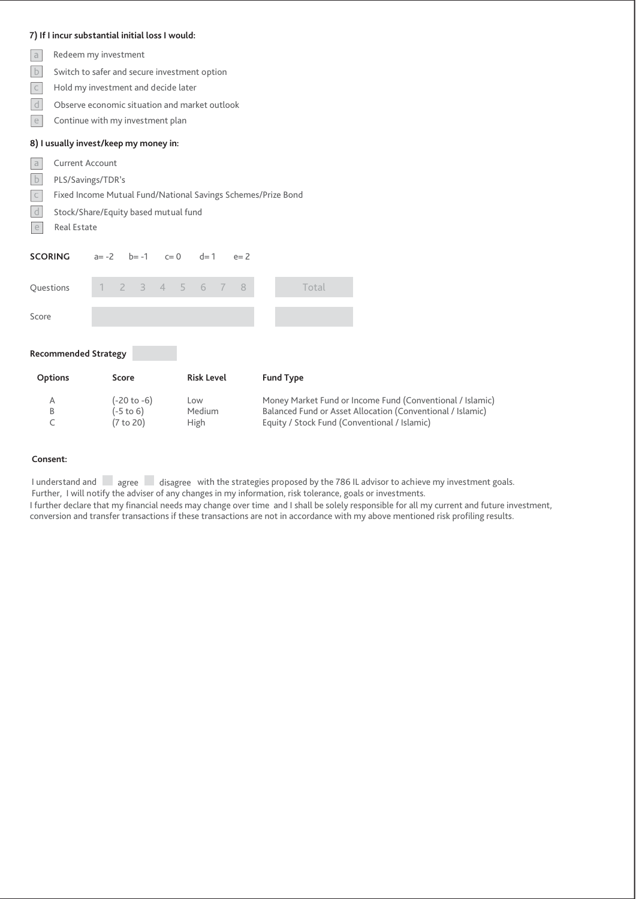## **7) If I incur substantial initial loss I would:**

- Redeem my investment  $\overline{a}$
- $\|b\|$  Switch to safer and secure investment option
- $\boxed{c}$  Hold my investment and decide later
- $\vert$  d  $\vert$  Observe economic situation and market outlook
- $\boxed{e}$  Continue with my investment plan

## **8) I usually invest/keep my money in:**

- Current Account  $|a|$
- b PLS/Savings/TDR's
- c Fixed Income Mutual Fund/National Savings Schemes/Prize Bond
- Stock/Share/Equity based mutual fund
- Real Estate

| <b>SCORING</b>       | $a = -2$ |                        | $b = -1$ $c = 0$ |  | $d=1$                 | $e=2$ |                  |                                                                                                            |  |  |  |  |
|----------------------|----------|------------------------|------------------|--|-----------------------|-------|------------------|------------------------------------------------------------------------------------------------------------|--|--|--|--|
| <b>Ouestions</b>     |          |                        |                  |  | 2 3 4 5 6 7           | - 8   |                  | Total                                                                                                      |  |  |  |  |
| Score                |          |                        |                  |  |                       |       |                  |                                                                                                            |  |  |  |  |
| Recommended Strategy |          |                        |                  |  |                       |       |                  |                                                                                                            |  |  |  |  |
| <b>Options</b>       |          | Score                  |                  |  | <b>Risk Level</b>     |       | <b>Fund Type</b> |                                                                                                            |  |  |  |  |
| Α                    |          |                        | (-20 to -6)      |  | Low                   |       |                  | Money Market Fund or Income Fund (Conventional / Islamic)                                                  |  |  |  |  |
| B                    |          | (-5 to 6)<br>(7 to 20) |                  |  | Medium<br><b>High</b> |       |                  | Balanced Fund or Asset Allocation (Conventional / Islamic)<br>Equity / Stock Fund (Conventional / Islamic) |  |  |  |  |

### **Consent:**

I understand and sagree saisagree with the strategies proposed by the 786 IL advisor to achieve my investment goals. Further, I will notify the adviser of any changes in my information, risk tolerance, goals or investments. I further declare that my financial needs may change over time and I shall be solely responsible for all my current and future investment, conversion and transfer transactions if these transactions are not in accordance with my above mentioned risk profiling results.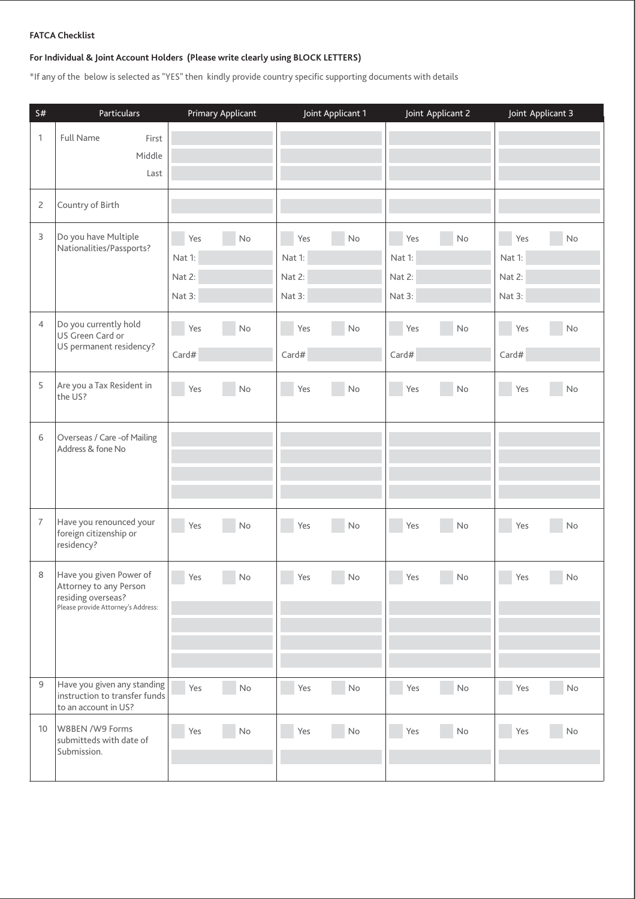## **FATCA Checklist**

# **For Individual & Joint Account Holders (Please write clearly using BLOCK LETTERS)**

\*If any of the below is selected as "YES" then kindly provide country specific supporting documents with details

| S#              | Particulars                                              | <b>Primary Applicant</b> | Joint Applicant 1 | Joint Applicant 2    | Joint Applicant 3 |
|-----------------|----------------------------------------------------------|--------------------------|-------------------|----------------------|-------------------|
| 1               | <b>Full Name</b><br>First                                |                          |                   |                      |                   |
|                 | Middle                                                   |                          |                   |                      |                   |
|                 | Last                                                     |                          |                   |                      |                   |
|                 |                                                          |                          |                   |                      |                   |
| 2               | Country of Birth                                         |                          |                   |                      |                   |
| 3               | Do you have Multiple                                     | Yes<br>No                | Yes<br>No         | Yes<br>No            | Yes<br>No         |
|                 | Nationalities/Passports?                                 | Nat 1:                   | Nat 1:            | Nat 1:               | Nat 1:            |
|                 |                                                          | Nat 2:                   | Nat 2:            | Nat 2:               | Nat 2:            |
|                 |                                                          | Nat 3:                   | Nat 3:            | Nat 3:               | Nat 3:            |
|                 |                                                          |                          |                   |                      |                   |
| $\overline{4}$  | Do you currently hold<br>US Green Card or                | Yes<br>No                | Yes<br>No         | Yes<br>No            | Yes<br>No         |
|                 | US permanent residency?                                  | Card#                    | Card#             | Card#                | Card#             |
|                 |                                                          |                          |                   |                      |                   |
| 5               | Are you a Tax Resident in<br>the US?                     | Yes<br>No                | Yes<br>No         | Yes<br>No            | in.<br>Yes<br>No  |
|                 |                                                          |                          |                   |                      |                   |
| 6               | Overseas / Care - of Mailing                             |                          |                   |                      |                   |
|                 | Address & fone No                                        |                          |                   |                      |                   |
|                 |                                                          |                          |                   |                      |                   |
|                 |                                                          |                          |                   |                      |                   |
|                 |                                                          |                          |                   |                      |                   |
| $\overline{7}$  | Have you renounced your<br>foreign citizenship or        | Yes<br>No                | Yes<br>No         | Yes<br>No            | Yes<br>No         |
|                 | residency?                                               |                          |                   |                      |                   |
|                 |                                                          |                          |                   |                      |                   |
| 8               | Have you given Power of<br>Attorney to any Person        | Yes<br>No                | Yes<br>No         | Yes<br>No            | Yes<br>No         |
|                 | residing overseas?<br>Please provide Attorney's Address: |                          |                   |                      |                   |
|                 |                                                          |                          |                   |                      |                   |
|                 |                                                          |                          |                   |                      |                   |
|                 |                                                          |                          |                   |                      |                   |
| 9               | Have you given any standing                              |                          |                   |                      |                   |
|                 | instruction to transfer funds                            | Yes<br>$\mathsf{No}$     | Yes<br>No         | Yes<br>$\mathsf{No}$ | Yes<br>No         |
|                 | to an account in US?                                     |                          |                   |                      |                   |
| 10 <sup>°</sup> | W8BEN /W9 Forms<br>submitteds with date of               | Yes<br>No                | Yes<br>No         | Yes<br>No            | Yes<br>No         |
|                 | Submission.                                              |                          |                   |                      |                   |
|                 |                                                          |                          |                   |                      |                   |